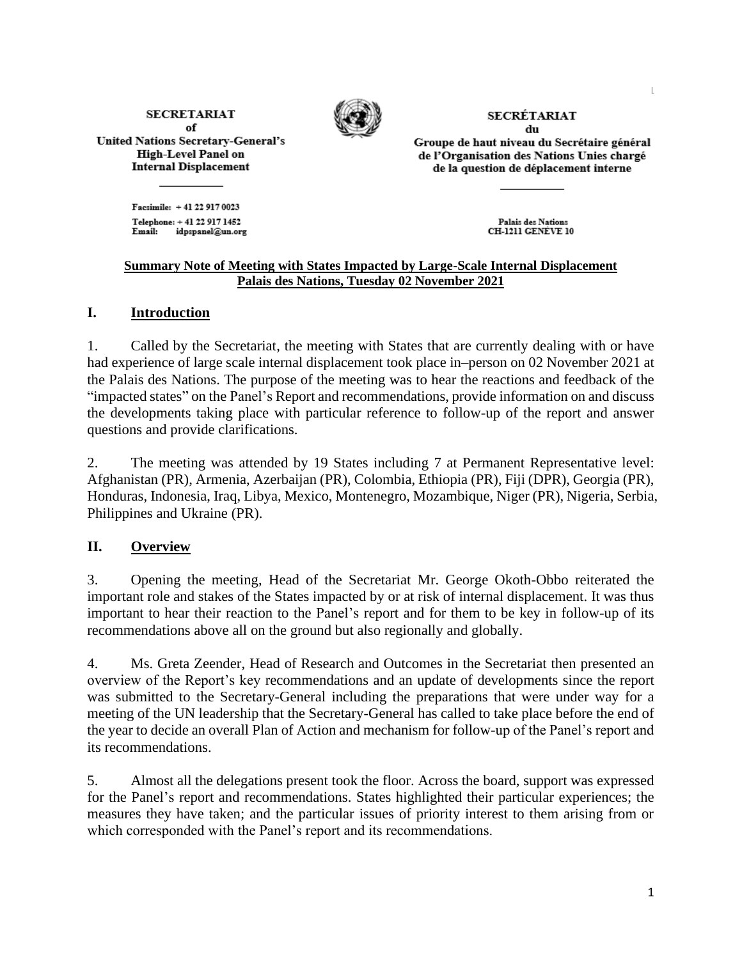**SECRETARIAT** of **United Nations Secretary-General's High-Level Panel on Internal Displacement** 



**SECRÉTARIAT** du

Groupe de haut niveau du Secrétaire général de l'Organisation des Nations Unies chargé de la question de déplacement interne

Facsimile: +41 22 917 0023 Telephone: +41 22 917 1452 idpspanel@un.org Email:

Palais des Nations **CH-1211 GENÈVE 10** 

## **Summary Note of Meeting with States Impacted by Large-Scale Internal Displacement Palais des Nations, Tuesday 02 November 2021**

## **I. Introduction**

1. Called by the Secretariat, the meeting with States that are currently dealing with or have had experience of large scale internal displacement took place in–person on 02 November 2021 at the Palais des Nations. The purpose of the meeting was to hear the reactions and feedback of the "impacted states" on the Panel's Report and recommendations, provide information on and discuss the developments taking place with particular reference to follow-up of the report and answer questions and provide clarifications.

2. The meeting was attended by 19 States including 7 at Permanent Representative level: Afghanistan (PR), Armenia, Azerbaijan (PR), Colombia, Ethiopia (PR), Fiji (DPR), Georgia (PR), Honduras, Indonesia, Iraq, Libya, Mexico, Montenegro, Mozambique, Niger (PR), Nigeria, Serbia, Philippines and Ukraine (PR).

## **II. Overview**

3. Opening the meeting, Head of the Secretariat Mr. George Okoth-Obbo reiterated the important role and stakes of the States impacted by or at risk of internal displacement. It was thus important to hear their reaction to the Panel's report and for them to be key in follow-up of its recommendations above all on the ground but also regionally and globally.

4. Ms. Greta Zeender, Head of Research and Outcomes in the Secretariat then presented an overview of the Report's key recommendations and an update of developments since the report was submitted to the Secretary-General including the preparations that were under way for a meeting of the UN leadership that the Secretary-General has called to take place before the end of the year to decide an overall Plan of Action and mechanism for follow-up of the Panel's report and its recommendations.

5. Almost all the delegations present took the floor. Across the board, support was expressed for the Panel's report and recommendations. States highlighted their particular experiences; the measures they have taken; and the particular issues of priority interest to them arising from or which corresponded with the Panel's report and its recommendations.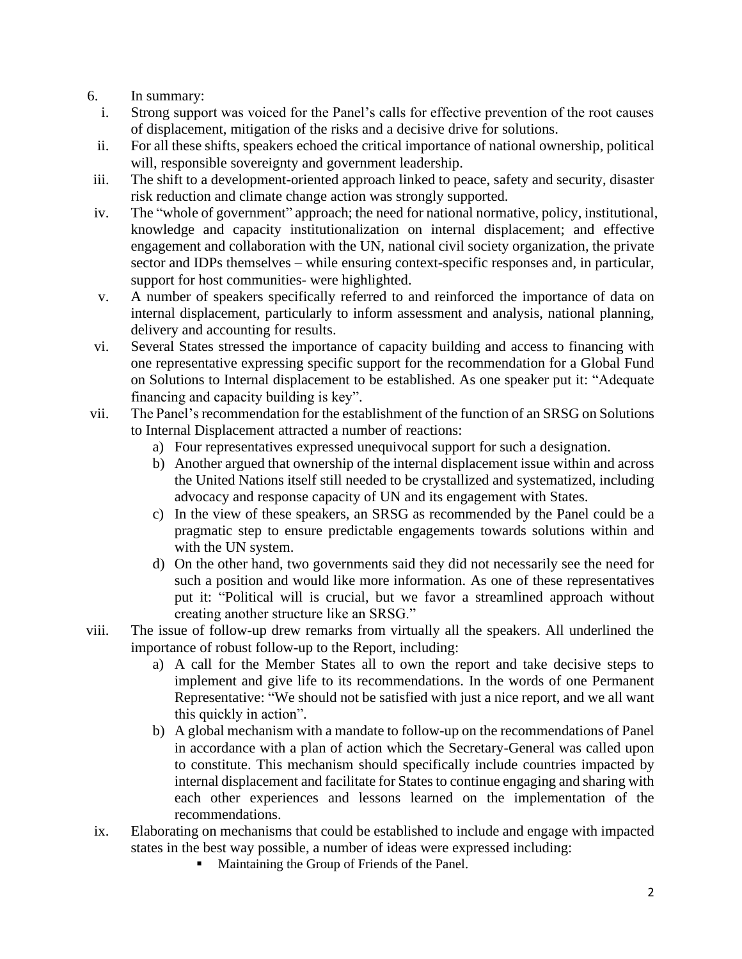- 6. In summary:
	- i. Strong support was voiced for the Panel's calls for effective prevention of the root causes of displacement, mitigation of the risks and a decisive drive for solutions.
	- ii. For all these shifts, speakers echoed the critical importance of national ownership, political will, responsible sovereignty and government leadership.
- iii. The shift to a development-oriented approach linked to peace, safety and security, disaster risk reduction and climate change action was strongly supported.
- iv. The "whole of government" approach; the need for national normative, policy, institutional, knowledge and capacity institutionalization on internal displacement; and effective engagement and collaboration with the UN, national civil society organization, the private sector and IDPs themselves – while ensuring context-specific responses and, in particular, support for host communities- were highlighted.
- v. A number of speakers specifically referred to and reinforced the importance of data on internal displacement, particularly to inform assessment and analysis, national planning, delivery and accounting for results.
- vi. Several States stressed the importance of capacity building and access to financing with one representative expressing specific support for the recommendation for a Global Fund on Solutions to Internal displacement to be established. As one speaker put it: "Adequate financing and capacity building is key".
- vii. The Panel's recommendation for the establishment of the function of an SRSG on Solutions to Internal Displacement attracted a number of reactions:
	- a) Four representatives expressed unequivocal support for such a designation.
	- b) Another argued that ownership of the internal displacement issue within and across the United Nations itself still needed to be crystallized and systematized, including advocacy and response capacity of UN and its engagement with States.
	- c) In the view of these speakers, an SRSG as recommended by the Panel could be a pragmatic step to ensure predictable engagements towards solutions within and with the UN system.
	- d) On the other hand, two governments said they did not necessarily see the need for such a position and would like more information. As one of these representatives put it: "Political will is crucial, but we favor a streamlined approach without creating another structure like an SRSG."
- viii. The issue of follow-up drew remarks from virtually all the speakers. All underlined the importance of robust follow-up to the Report, including:
	- a) A call for the Member States all to own the report and take decisive steps to implement and give life to its recommendations. In the words of one Permanent Representative: "We should not be satisfied with just a nice report, and we all want this quickly in action".
	- b) A global mechanism with a mandate to follow-up on the recommendations of Panel in accordance with a plan of action which the Secretary-General was called upon to constitute. This mechanism should specifically include countries impacted by internal displacement and facilitate for States to continue engaging and sharing with each other experiences and lessons learned on the implementation of the recommendations.
- ix. Elaborating on mechanisms that could be established to include and engage with impacted states in the best way possible, a number of ideas were expressed including:
	- Maintaining the Group of Friends of the Panel.